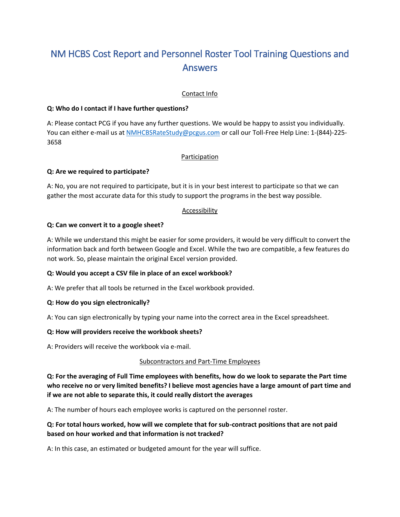# NM HCBS Cost Report and Personnel Roster Tool Training Questions and Answers

# Contact Info

#### **Q: Who do I contact if I have further questions?**

A: Please contact PCG if you have any further questions. We would be happy to assist you individually. You can either e-mail us at [NMHCBSRateStudy@pcgus.com](mailto:NMHCBSRateStudy@pcgus.com) or call our Toll-Free Help Line: 1-(844)-225-3658

# Participation

# **Q: Are we required to participate?**

A: No, you are not required to participate, but it is in your best interest to participate so that we can gather the most accurate data for this study to support the programs in the best way possible.

# Accessibility

# **Q: Can we convert it to a google sheet?**

A: While we understand this might be easier for some providers, it would be very difficult to convert the information back and forth between Google and Excel. While the two are compatible, a few features do not work. So, please maintain the original Excel version provided.

# **Q: Would you accept a CSV file in place of an excel workbook?**

A: We prefer that all tools be returned in the Excel workbook provided.

#### **Q: How do you sign electronically?**

A: You can sign electronically by typing your name into the correct area in the Excel spreadsheet.

#### **Q: How will providers receive the workbook sheets?**

A: Providers will receive the workbook via e-mail.

#### Subcontractors and Part-Time Employees

**Q: For the averaging of Full Time employees with benefits, how do we look to separate the Part time who receive no or very limited benefits? I believe most agencies have a large amount of part time and if we are not able to separate this, it could really distort the averages**

A: The number of hours each employee works is captured on the personnel roster.

# **Q: For total hours worked, how will we complete that for sub-contract positions that are not paid based on hour worked and that information is not tracked?**

A: In this case, an estimated or budgeted amount for the year will suffice.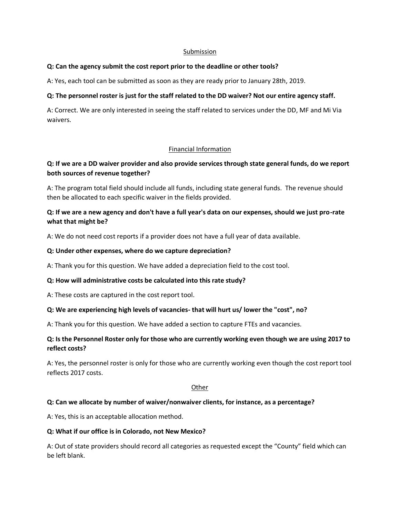#### Submission

#### **Q: Can the agency submit the cost report prior to the deadline or other tools?**

A: Yes, each tool can be submitted as soon as they are ready prior to January 28th, 2019.

# **Q: The personnel roster is just for the staff related to the DD waiver? Not our entire agency staff.**

A: Correct. We are only interested in seeing the staff related to services under the DD, MF and Mi Via waivers.

# Financial Information

# **Q: If we are a DD waiver provider and also provide services through state general funds, do we report both sources of revenue together?**

A: The program total field should include all funds, including state general funds. The revenue should then be allocated to each specific waiver in the fields provided.

# **Q: If we are a new agency and don't have a full year's data on our expenses, should we just pro-rate what that might be?**

A: We do not need cost reports if a provider does not have a full year of data available.

# **Q: Under other expenses, where do we capture depreciation?**

A: Thank you for this question. We have added a depreciation field to the cost tool.

#### **Q: How will administrative costs be calculated into this rate study?**

A: These costs are captured in the cost report tool.

#### **Q: We are experiencing high levels of vacancies- that will hurt us/ lower the "cost", no?**

A: Thank you for this question. We have added a section to capture FTEs and vacancies.

# **Q: Is the Personnel Roster only for those who are currently working even though we are using 2017 to reflect costs?**

A: Yes, the personnel roster is only for those who are currently working even though the cost report tool reflects 2017 costs.

#### **Other**

# **Q: Can we allocate by number of waiver/nonwaiver clients, for instance, as a percentage?**

A: Yes, this is an acceptable allocation method.

#### **Q: What if our office is in Colorado, not New Mexico?**

A: Out of state providers should record all categories as requested except the "County" field which can be left blank.